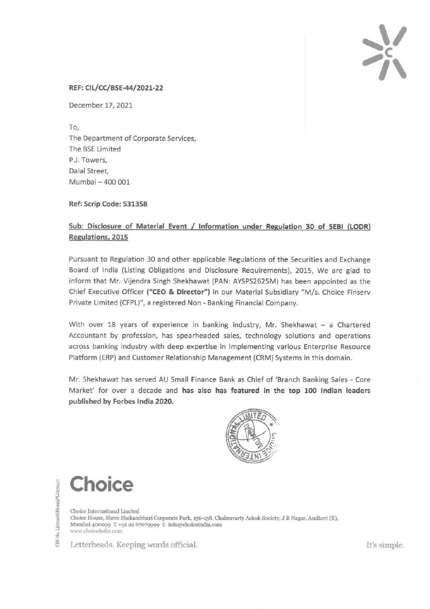## **,\1 <sup>c</sup>**  $\gamma$

## **REF: CIL/CC/BSE-44/2021-22**

December 17, 2021

To, The Department of Corporate Services, The BSE Limited P.J. Towers, Dalal Street, Mumbai- 400 001

**Ref: Scrip Code: 531358** 

## **Sub: Disclosure of Material Event I Information under Regulation 30 of SEBI (LODR) Regulations, 2015**

Pursuant to Regulation 30 and other applicable Regulations of the Securities and Exchange Board of India (Listing Obligations and Disclosure Requirements), 2015, We are glad to inform that Mr. Vijendra Singh Shekhawat (PAN: AYSPS2625M) has been appointed as the Chief Executive Officer **("CEO & Director")** in our Material Subsidiary "M/s. Choice Finserv Private Limited (CFPL)", a registered Non- Banking Financial Company.

With over 18 years of experience in banking industry, Mr. Shekhawat  $-$  a Chartered Accountant by profession, has spearheaded sales, technology solutions and operations across banking industry with deep expertise in implementing various Enterprise Resource Platform (ERP) and Customer Relationship Management (CRM) Systems in this domain.

Mr. Shekhawat has served AU Small Finance Bank as Chief of 'Branch Banking Sales - Core Market' for over a decade and **has also has featured in the top 100 Indian leaders published by Forbes India 2020.** 



**Choice** 

No. L67190MH1993FLC071117

Ă

Choice International Limited Choice House, Shree Shakambhari Corporate Park, 156-158, Chakravarty Ashok Society, J B Nagar, Andheri (E), Mumbai 400099 T +91 22 67079999 E info@cboiceindia.com w·ww.choiceindia.com

Letterheads. Keeping words official. It's simple.